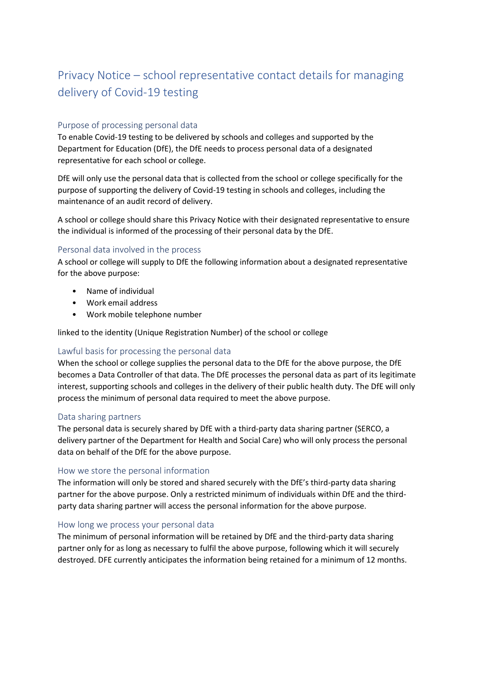# Privacy Notice – school representative contact details for managing delivery of Covid-19 testing

# Purpose of processing personal data

To enable Covid-19 testing to be delivered by schools and colleges and supported by the Department for Education (DfE), the DfE needs to process personal data of a designated representative for each school or college.

DfE will only use the personal data that is collected from the school or college specifically for the purpose of supporting the delivery of Covid-19 testing in schools and colleges, including the maintenance of an audit record of delivery.

A school or college should share this Privacy Notice with their designated representative to ensure the individual is informed of the processing of their personal data by the DfE.

## Personal data involved in the process

A school or college will supply to DfE the following information about a designated representative for the above purpose:

- Name of individual
- Work email address
- Work mobile telephone number

linked to the identity (Unique Registration Number) of the school or college

# Lawful basis for processing the personal data

When the school or college supplies the personal data to the DfE for the above purpose, the DfE becomes a Data Controller of that data. The DfE processes the personal data as part of its legitimate interest, supporting schools and colleges in the delivery of their public health duty. The DfE will only process the minimum of personal data required to meet the above purpose.

#### Data sharing partners

The personal data is securely shared by DfE with a third-party data sharing partner (SERCO, a delivery partner of the Department for Health and Social Care) who will only process the personal data on behalf of the DfE for the above purpose.

#### How we store the personal information

The information will only be stored and shared securely with the DfE's third-party data sharing partner for the above purpose. Only a restricted minimum of individuals within DfE and the thirdparty data sharing partner will access the personal information for the above purpose.

#### How long we process your personal data

The minimum of personal information will be retained by DfE and the third-party data sharing partner only for as long as necessary to fulfil the above purpose, following which it will securely destroyed. DFE currently anticipates the information being retained for a minimum of 12 months.